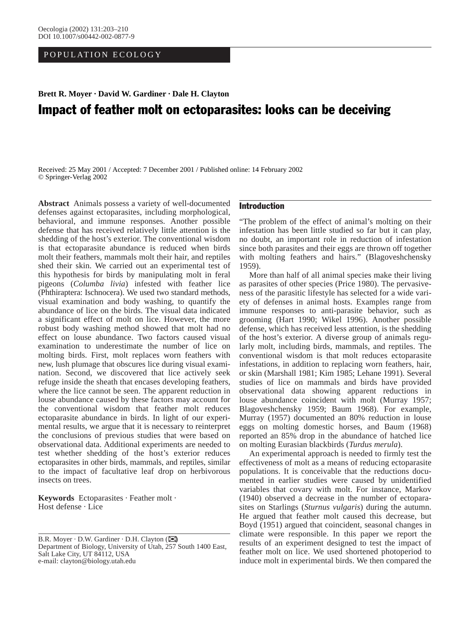POPULATION ECOLOGY

# **Brett R. Moyer · David W. Gardiner · Dale H. Clayton** Impact of feather molt on ectoparasites: looks can be deceiving

Received: 25 May 2001 / Accepted: 7 December 2001 / Published online: 14 February 2002 © Springer-Verlag 2002

**Abstract** Animals possess a variety of well-documented defenses against ectoparasites, including morphological, behavioral, and immune responses. Another possible defense that has received relatively little attention is the shedding of the host's exterior. The conventional wisdom is that ectoparasite abundance is reduced when birds molt their feathers, mammals molt their hair, and reptiles shed their skin. We carried out an experimental test of this hypothesis for birds by manipulating molt in feral pigeons (*Columba livia*) infested with feather lice (Phthiraptera: Ischnocera). We used two standard methods, visual examination and body washing, to quantify the abundance of lice on the birds. The visual data indicated a significant effect of molt on lice. However, the more robust body washing method showed that molt had no effect on louse abundance. Two factors caused visual examination to underestimate the number of lice on molting birds. First, molt replaces worn feathers with new, lush plumage that obscures lice during visual examination. Second, we discovered that lice actively seek refuge inside the sheath that encases developing feathers, where the lice cannot be seen. The apparent reduction in louse abundance caused by these factors may account for the conventional wisdom that feather molt reduces ectoparasite abundance in birds. In light of our experimental results, we argue that it is necessary to reinterpret the conclusions of previous studies that were based on observational data. Additional experiments are needed to test whether shedding of the host's exterior reduces ectoparasites in other birds, mammals, and reptiles, similar to the impact of facultative leaf drop on herbivorous insects on trees.

**Keywords** Ectoparasites · Feather molt · Host defense · Lice

# Introduction

"The problem of the effect of animal's molting on their infestation has been little studied so far but it can play, no doubt, an important role in reduction of infestation since both parasites and their eggs are thrown off together with molting feathers and hairs." (Blagoveshchensky 1959).

More than half of all animal species make their living as parasites of other species (Price 1980). The pervasiveness of the parasitic lifestyle has selected for a wide variety of defenses in animal hosts. Examples range from immune responses to anti-parasite behavior, such as grooming (Hart 1990; Wikel 1996). Another possible defense, which has received less attention, is the shedding of the host's exterior. A diverse group of animals regularly molt, including birds, mammals, and reptiles. The conventional wisdom is that molt reduces ectoparasite infestations, in addition to replacing worn feathers, hair, or skin (Marshall 1981; Kim 1985; Lehane 1991). Several studies of lice on mammals and birds have provided observational data showing apparent reductions in louse abundance coincident with molt (Murray 1957; Blagoveshchensky 1959; Baum 1968). For example, Murray (1957) documented an 80% reduction in louse eggs on molting domestic horses, and Baum (1968) reported an 85% drop in the abundance of hatched lice on molting Eurasian blackbirds (*Turdus merula*).

An experimental approach is needed to firmly test the effectiveness of molt as a means of reducing ectoparasite populations. It is conceivable that the reductions documented in earlier studies were caused by unidentified variables that covary with molt. For instance, Markov (1940) observed a decrease in the number of ectoparasites on Starlings (*Sturnus vulgaris*) during the autumn. He argued that feather molt caused this decrease, but Boyd (1951) argued that coincident, seasonal changes in climate were responsible. In this paper we report the results of an experiment designed to test the impact of feather molt on lice. We used shortened photoperiod to induce molt in experimental birds. We then compared the

B.R. Moyer · D.W. Gardiner · D.H. Clayton ( $\boxtimes$ ) Department of Biology, University of Utah, 257 South 1400 East, Salt Lake City, UT 84112, USA e-mail: clayton@biology.utah.edu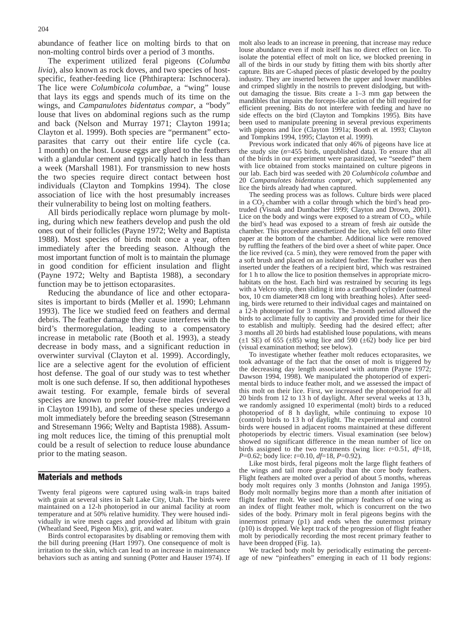abundance of feather lice on molting birds to that on non-molting control birds over a period of 3 months.

The experiment utilized feral pigeons (*Columba livia*), also known as rock doves, and two species of hostspecific, feather-feeding lice (Phthiraptera: Ischnocera). The lice were *Columbicola columbae*, a "wing" louse that lays its eggs and spends much of its time on the wings, and *Campanulotes bidentatus compar*, a "body" louse that lives on abdominal regions such as the rump and back (Nelson and Murray 1971; Clayton 1991a; Clayton et al. 1999). Both species are "permanent" ectoparasites that carry out their entire life cycle (ca. 1 month) on the host. Louse eggs are glued to the feathers with a glandular cement and typically hatch in less than a week (Marshall 1981). For transmission to new hosts the two species require direct contact between host individuals (Clayton and Tompkins 1994). The close association of lice with the host presumably increases their vulnerability to being lost on molting feathers.

All birds periodically replace worn plumage by molting, during which new feathers develop and push the old ones out of their follicles (Payne 1972; Welty and Baptista 1988). Most species of birds molt once a year, often immediately after the breeding season. Although the most important function of molt is to maintain the plumage in good condition for efficient insulation and flight (Payne 1972; Welty and Baptista 1988), a secondary function may be to jettison ectoparasites.

Reducing the abundance of lice and other ectoparasites is important to birds (Møller et al. 1990; Lehmann 1993). The lice we studied feed on feathers and dermal debris. The feather damage they cause interferes with the bird's thermoregulation, leading to a compensatory increase in metabolic rate (Booth et al. 1993), a steady decrease in body mass, and a significant reduction in overwinter survival (Clayton et al. 1999). Accordingly, lice are a selective agent for the evolution of efficient host defense. The goal of our study was to test whether molt is one such defense. If so, then additional hypotheses await testing. For example, female birds of several species are known to prefer louse-free males (reviewed in Clayton 1991b), and some of these species undergo a molt immediately before the breeding season (Stresemann and Stresemann 1966; Welty and Baptista 1988). Assuming molt reduces lice, the timing of this prenuptial molt could be a result of selection to reduce louse abundance prior to the mating season.

## Materials and methods

Twenty feral pigeons were captured using walk-in traps baited with grain at several sites in Salt Lake City, Utah. The birds were maintained on a 12-h photoperiod in our animal facility at room temperature and at 50% relative humidity. They were housed individually in wire mesh cages and provided ad libitum with grain (Wheatland Seed, Pigeon Mix), grit, and water.

Birds control ectoparasites by disabling or removing them with the bill during preening (Hart 1997). One consequence of molt is irritation to the skin, which can lead to an increase in maintenance behaviors such as anting and sunning (Potter and Hauser 1974). If molt also leads to an increase in preening, that increase may reduce louse abundance even if molt itself has no direct effect on lice. To isolate the potential effect of molt on lice, we blocked preening in all of the birds in our study by fitting them with bits shortly after capture. Bits are C-shaped pieces of plastic developed by the poultry industry. They are inserted between the upper and lower mandibles and crimped slightly in the nostrils to prevent dislodging, but without damaging the tissue. Bits create a 1–3 mm gap between the mandibles that impairs the forceps-like action of the bill required for efficient preening. Bits do not interfere with feeding and have no side effects on the bird (Clayton and Tompkins 1995). Bits have been used to manipulate preening in several previous experiments with pigeons and lice (Clayton 1991a; Booth et al. 1993; Clayton and Tompkins 1994, 1995; Clayton et al. 1999).

Previous work indicated that only 46% of pigeons have lice at the study site (*n*=455 birds, unpublished data). To ensure that all of the birds in our experiment were parasitized, we "seeded" them with lice obtained from stocks maintained on culture pigeons in our lab. Each bird was seeded with 20 *Columbicola columbae* and 20 *Campanulotes bidentatus compar*, which supplemented any lice the birds already had when captured.

The seeding process was as follows. Culture birds were placed in a  $CO<sub>2</sub>$  chamber with a collar through which the bird's head protruded (Visnak and Dumbacher 1999; Clayton and Drown, 2001). Lice on the body and wings were exposed to a stream of  $CO<sub>2</sub>$ , while the bird's head was exposed to a stream of fresh air outside the chamber. This procedure anesthetized the lice, which fell onto filter paper at the bottom of the chamber. Additional lice were removed by ruffling the feathers of the bird over a sheet of white paper. Once the lice revived (ca. 5 min), they were removed from the paper with a soft brush and placed on an isolated feather. The feather was then inserted under the feathers of a recipient bird, which was restrained for 1 h to allow the lice to position themselves in appropriate microhabitats on the host. Each bird was restrained by securing its legs with a Velcro strip, then sliding it into a cardboard cylinder (oatmeal box, 10 cm diameter×18 cm long with breathing holes). After seeding, birds were returned to their individual cages and maintained on a 12-h photoperiod for 3 months. The 3-month period allowed the birds to acclimate fully to captivity and provided time for their lice to establish and multiply. Seeding had the desired effect; after 3 months all 20 birds had established louse populations, with means  $(\pm 1 \text{ SE})$  of 655 ( $\pm 85$ ) wing lice and 590 ( $\pm 62$ ) body lice per bird (visual examination method; see below).

To investigate whether feather molt reduces ectoparasites, we took advantage of the fact that the onset of molt is triggered by the decreasing day length associated with autumn (Payne 1972; Dawson 1994, 1998). We manipulated the photoperiod of experimental birds to induce feather molt, and we assessed the impact of this molt on their lice. First, we increased the photoperiod for all 20 birds from 12 to 13 h of daylight. After several weeks at 13 h, we randomly assigned 10 experimental (molt) birds to a reduced photoperiod of 8 h daylight, while continuing to expose 10 (control) birds to 13 h of daylight. The experimental and control birds were housed in adjacent rooms maintained at these different photoperiods by electric timers. Visual examination (see below) showed no significant difference in the mean number of lice on birds assigned to the two treatments (wing lice: *t*=0.51, *df*=18, *P*=0.62; body lice: *t*=0.10, *df*=18, *P*=0.92).

Like most birds, feral pigeons molt the large flight feathers of the wings and tail more gradually than the core body feathers. Flight feathers are molted over a period of about 5 months, whereas body molt requires only 3 months (Johnston and Janiga 1995). Body molt normally begins more than a month after initiation of flight feather molt. We used the primary feathers of one wing as an index of flight feather molt, which is concurrent on the two sides of the body. Primary molt in feral pigeons begins with the innermost primary (p1) and ends when the outermost primary (p10) is dropped. We kept track of the progression of flight feather molt by periodically recording the most recent primary feather to have been dropped (Fig. 1a).

We tracked body molt by periodically estimating the percentage of new "pinfeathers" emerging in each of 11 body regions: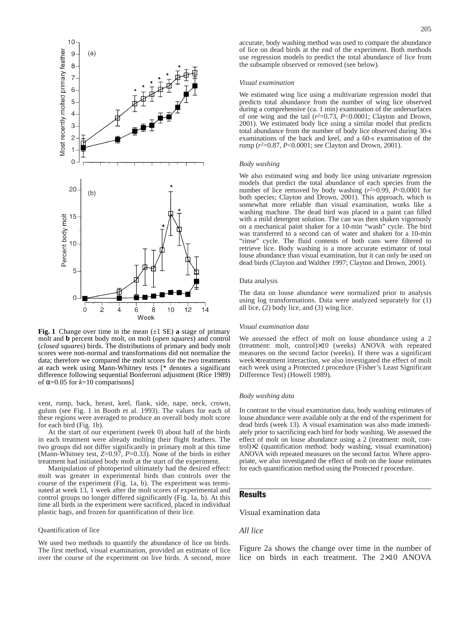

**Fig. 1** Change over time in the mean  $(\pm 1 \text{ SE})$  **a** stage of primary molt and **b** percent body molt, on molt (*open squares*) and control (*closed squares*) birds. The distributions of primary and body molt scores were non-normal and transformations did not normalize the data; therefore we compared the molt scores for the two treatments at each week using Mann-Whitney tests [\* denotes a significant difference following sequential Bonferroni adjustment (Rice 1989) of  $\alpha$ =0.05 for  $k$ =10 comparisons]

vent, rump, back, breast, keel, flank, side, nape, neck, crown, gulum (see Fig. 1 in Booth et al. 1993). The values for each of these regions were averaged to produce an overall body molt score for each bird (Fig. 1b).

At the start of our experiment (week 0) about half of the birds in each treatment were already molting their flight feathers. The two groups did not differ significantly in primary molt at this time (Mann-Whitney test, *Z*=0.97, *P*=0.33). None of the birds in either treatment had initiated body molt at the start of the experiment.

Manipulation of photoperiod ultimately had the desired effect: molt was greater in experimental birds than controls over the course of the experiment (Fig. 1a, b). The experiment was terminated at week 13, 1 week after the molt scores of experimental and control groups no longer differed significantly (Fig. 1a, b). At this time all birds in the experiment were sacrificed, placed in individual plastic bags, and frozen for quantification of their lice.

#### Quantification of lice

We used two methods to quantify the abundance of lice on birds. The first method, visual examination, provided an estimate of lice over the course of the experiment on live birds. A second, more accurate, body washing method was used to compare the abundance of lice on dead birds at the end of the experiment. Both methods use regression models to predict the total abundance of lice from the subsample observed or removed (see below).

#### *Visual examination*

We estimated wing lice using a multivariate regression model that predicts total abundance from the number of wing lice observed during a comprehensive (ca. 1 min) examination of the undersurfaces of one wing and the tail (*r2*=0.73, *P*<0.0001; Clayton and Drown, 2001). We estimated body lice using a similar model that predicts total abundance from the number of body lice observed during 30-s examinations of the back and keel, and a 60-s examination of the rump (*r2*=0.87, *P*<0.0001; see Clayton and Drown, 2001).

#### *Body washing*

We also estimated wing and body lice using univariate regression models that predict the total abundance of each species from the number of lice removed by body washing (*r2*=0.99, *P*<0.0001 for both species; Clayton and Drown, 2001). This approach, which is somewhat more reliable than visual examination, works like a washing machine. The dead bird was placed in a paint can filled with a mild detergent solution. The can was then shaken vigorously on a mechanical paint shaker for a 10-min "wash" cycle. The bird was transferred to a second can of water and shaken for a 10-min "rinse" cycle. The fluid contents of both cans were filtered to retrieve lice. Body washing is a more accurate estimator of total louse abundance than visual examination, but it can only be used on dead birds (Clayton and Walther 1997; Clayton and Drown, 2001).

#### Data analysis

The data on louse abundance were normalized prior to analysis using log transformations. Data were analyzed separately for (1) all lice, (2) body lice, and (3) wing lice.

#### *Visual examination data*

We assessed the effect of molt on louse abundance using a 2 (treatment: molt, control)×10 (weeks) ANOVA with repeated measures on the second factor (weeks). If there was a significant week×treatment interaction, we also investigated the effect of molt each week using a Protected *t* procedure (Fisher's Least Significant Difference Test) (Howell 1989).

#### *Body washing data*

In contrast to the visual examination data, body washing estimates of louse abundance were available only at the end of the experiment for dead birds (week 13). A visual examination was also made immediately prior to sacrificing each bird for body washing. We assessed the effect of molt on louse abundance using a 2 (treatment: molt, control)×2 (quantification method: body washing, visual examination) ANOVA with repeated measures on the second factor. Where appropriate, we also investigated the effect of molt on the louse estimates for each quantification method using the Protected *t* procedure.

## Results

Visual examination data

### *All lice*

Figure 2a shows the change over time in the number of lice on birds in each treatment. The 2×10 ANOVA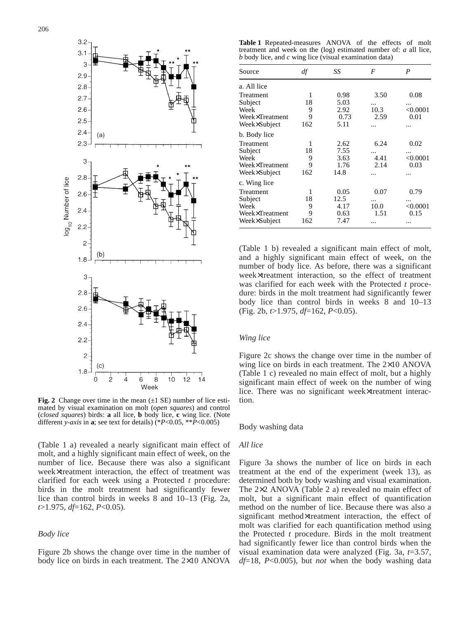

**Fig. 2** Change over time in the mean  $(\pm 1 \text{ SE})$  number of lice estimated by visual examination on molt (*open squares*) and control (*closed squares*) birds: **a** all lice, **b** body lice, **c** wing lice. (Note different *y-axis* in **a**; see text for details)  $(*P<0.05, **P<0.005)$ 

(Table 1 a) revealed a nearly significant main effect of molt, and a highly significant main effect of week, on the number of lice. Because there was also a significant week×treatment interaction, the effect of treatment was clarified for each week using a Protected *t* procedure: birds in the molt treatment had significantly fewer lice than control birds in weeks 8 and 10–13 (Fig. 2a, *t*>1.975, *df*=162, *P*<0.05).

# *Body lice*

Figure 2b shows the change over time in the number of body lice on birds in each treatment. The 2×10 ANOVA

**Table 1** Repeated-measures ANOVA of the effects of molt treatment and week on the (log) estimated number of: *a* all lice, *b* body lice, and *c* wing lice (visual examination data)

| Source         | df  | SS   | F    | $\boldsymbol{P}$ |
|----------------|-----|------|------|------------------|
| a. All lice    |     |      |      |                  |
| Treatment      | 1   | 0.98 | 3.50 | 0.08             |
| Subject        | 18  | 5.03 |      | $\cdots$         |
| Week           | 9   | 2.92 | 10.3 | < 0.0001         |
| Week×Treatment | 9   | 0.73 | 2.59 | 0.01             |
| Week×Subject   | 162 | 5.11 |      |                  |
| b. Body lice   |     |      |      |                  |
| Treatment      | 1   | 2.62 | 6.24 | 0.02             |
| Subject        | 18  | 7.55 |      |                  |
| Week           | 9   | 3.63 | 4.41 | < 0.0001         |
| Week×Treatment | 9   | 1.76 | 2.14 | 0.03             |
| Week×Subject   | 162 | 14.8 |      |                  |
| c. Wing lice   |     |      |      |                  |
| Treatment      | 1   | 0.05 | 0.07 | 0.79             |
| Subject        | 18  | 12.5 |      |                  |
| Week           | 9   | 4.17 | 10.0 | < 0.0001         |
| Week×Treatment | 9   | 0.63 | 1.51 | 0.15             |
| Week×Subject   | 162 | 7.47 |      |                  |
|                |     |      |      |                  |

(Table 1 b) revealed a significant main effect of molt, and a highly significant main effect of week, on the number of body lice. As before, there was a significant week×treatment interaction, so the effect of treatment was clarified for each week with the Protected *t* procedure: birds in the molt treatment had significantly fewer body lice than control birds in weeks 8 and 10–13 (Fig. 2b, *t*>1.975, *df*=162, *P*<0.05).

# *Wing lice*

Figure 2c shows the change over time in the number of wing lice on birds in each treatment. The 2×10 ANOVA (Table 1 c) revealed no main effect of molt, but a highly significant main effect of week on the number of wing lice. There was no significant week×treatment interaction.

# Body washing data

## *All lice*

Figure 3a shows the number of lice on birds in each treatment at the end of the experiment (week 13), as determined both by body washing and visual examination. The 2×2 ANOVA (Table 2 a) revealed no main effect of molt, but a significant main effect of quantification method on the number of lice. Because there was also a significant method×treatment interaction, the effect of molt was clarified for each quantification method using the Protected *t* procedure. Birds in the molt treatment had significantly fewer lice than control birds when the visual examination data were analyzed (Fig. 3a, *t*=3.57, *df*=18, *P*<0.005), but *not* when the body washing data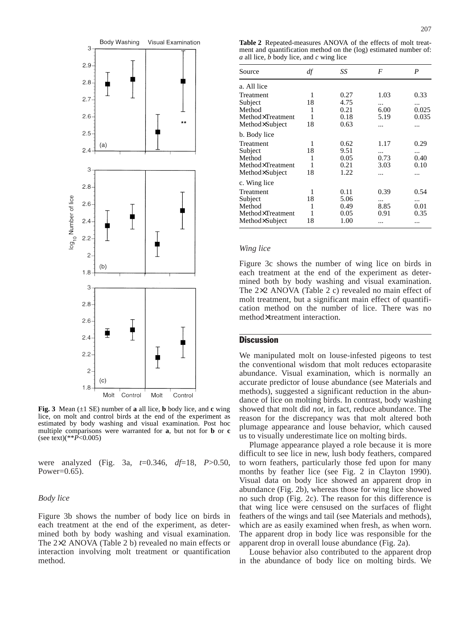

**Fig. 3** Mean (±1 SE) number of **a** all lice, **b** body lice, and **c** wing lice, on molt and control birds at the end of the experiment as estimated by body washing and visual examination. Post hoc multiple comparisons were warranted for **a**, but not for **b** or **c** (see text)(\*\**P*<0.005)

were analyzed (Fig. 3a, *t*=0.346, *df*=18, *P*>0.50, Power= $0.65$ ).

## *Body lice*

Figure 3b shows the number of body lice on birds in each treatment at the end of the experiment, as determined both by body washing and visual examination. The 2×2 ANOVA (Table 2 b) revealed no main effects or interaction involving molt treatment or quantification method.

| Source           | df | SS   | F    | P     |
|------------------|----|------|------|-------|
| a. All lice      |    |      |      |       |
| Treatment        | 1  | 0.27 | 1.03 | 0.33  |
| Subject          | 18 | 4.75 | .    |       |
| Method           | 1  | 0.21 | 6.00 | 0.025 |
| Method×Treatment | 1  | 0.18 | 5.19 | 0.035 |
| Method×Subject   | 18 | 0.63 |      |       |
| b. Body lice     |    |      |      |       |
| Treatment        | 1  | 0.62 | 1.17 | 0.29  |
| Subject          | 18 | 9.51 | .    | .     |
| Method           | 1  | 0.05 | 0.73 | 0.40  |
| Method×Treatment | 1  | 0.21 | 3.03 | 0.10  |
| Method×Subject   | 18 | 1.22 |      |       |
| c. Wing lice     |    |      |      |       |
| Treatment        | 1  | 0.11 | 0.39 | 0.54  |
| Subject          | 18 | 5.06 | .    |       |
| Method           | 1  | 0.49 | 8.85 | 0.01  |
| Method×Treatment | 1  | 0.05 | 0.91 | 0.35  |
| Method×Subject   | 18 | 1.00 |      |       |
|                  |    |      |      |       |

#### *Wing lice*

Figure 3c shows the number of wing lice on birds in each treatment at the end of the experiment as determined both by body washing and visual examination. The 2×2 ANOVA (Table 2 c) revealed no main effect of molt treatment, but a significant main effect of quantification method on the number of lice. There was no method×treatment interaction.

# **Discussion**

We manipulated molt on louse-infested pigeons to test the conventional wisdom that molt reduces ectoparasite abundance. Visual examination, which is normally an accurate predictor of louse abundance (see Materials and methods), suggested a significant reduction in the abundance of lice on molting birds. In contrast, body washing showed that molt did *not*, in fact, reduce abundance. The reason for the discrepancy was that molt altered both plumage appearance and louse behavior, which caused us to visually underestimate lice on molting birds.

Plumage appearance played a role because it is more difficult to see lice in new, lush body feathers, compared to worn feathers, particularly those fed upon for many months by feather lice (see Fig. 2 in Clayton 1990). Visual data on body lice showed an apparent drop in abundance (Fig. 2b), whereas those for wing lice showed no such drop (Fig. 2c). The reason for this difference is that wing lice were censused on the surfaces of flight feathers of the wings and tail (see Materials and methods), which are as easily examined when fresh, as when worn. The apparent drop in body lice was responsible for the apparent drop in overall louse abundance (Fig. 2a).

Louse behavior also contributed to the apparent drop in the abundance of body lice on molting birds. We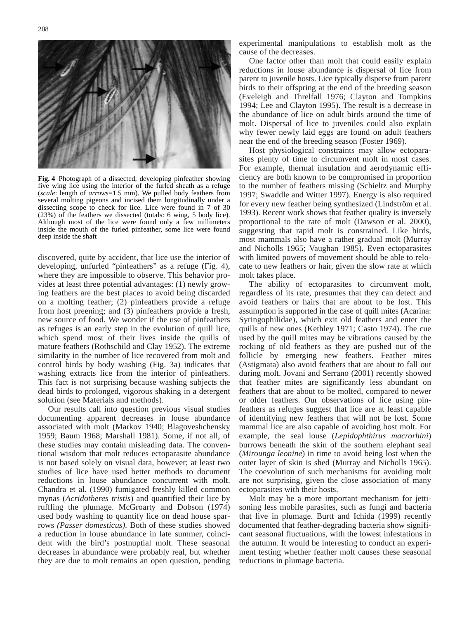

**Fig. 4** Photograph of a dissected, developing pinfeather showing five wing lice using the interior of the furled sheath as a refuge (*scale*: length of *arrows*=1.5 mm). We pulled body feathers from several molting pigeons and incised them longitudinally under a dissecting scope to check for lice. Lice were found in 7 of 30 (23%) of the feathers we dissected (totals: 6 wing, 5 body lice). Although most of the lice were found only a few millimeters inside the mouth of the furled pinfeather, some lice were found deep inside the shaft

discovered, quite by accident, that lice use the interior of developing, unfurled "pinfeathers" as a refuge (Fig. 4), where they are impossible to observe. This behavior provides at least three potential advantages: (1) newly growing feathers are the best places to avoid being discarded on a molting feather; (2) pinfeathers provide a refuge from host preening; and (3) pinfeathers provide a fresh, new source of food. We wonder if the use of pinfeathers as refuges is an early step in the evolution of quill lice, which spend most of their lives inside the quills of mature feathers (Rothschild and Clay 1952). The extreme similarity in the number of lice recovered from molt and control birds by body washing (Fig. 3a) indicates that washing extracts lice from the interior of pinfeathers. This fact is not surprising because washing subjects the dead birds to prolonged, vigorous shaking in a detergent solution (see Materials and methods).

Our results call into question previous visual studies documenting apparent decreases in louse abundance associated with molt (Markov 1940; Blagoveshchensky 1959; Baum 1968; Marshall 1981). Some, if not all, of these studies may contain misleading data. The conventional wisdom that molt reduces ectoparasite abundance is not based solely on visual data, however; at least two studies of lice have used better methods to document reductions in louse abundance concurrent with molt. Chandra et al. (1990) fumigated freshly killed common mynas (*Acridotheres tristis*) and quantified their lice by ruffling the plumage. McGroarty and Dobson (1974) used body washing to quantify lice on dead house sparrows *(Passer domesticus).* Both of these studies showed a reduction in louse abundance in late summer, coincident with the bird's postnuptial molt. These seasonal decreases in abundance were probably real, but whether they are due to molt remains an open question, pending

experimental manipulations to establish molt as the cause of the decreases.

One factor other than molt that could easily explain reductions in louse abundance is dispersal of lice from parent to juvenile hosts. Lice typically disperse from parent birds to their offspring at the end of the breeding season (Eveleigh and Threlfall 1976; Clayton and Tompkins 1994; Lee and Clayton 1995). The result is a decrease in the abundance of lice on adult birds around the time of molt. Dispersal of lice to juveniles could also explain why fewer newly laid eggs are found on adult feathers near the end of the breeding season (Foster 1969).

Host physiological constraints may allow ectoparasites plenty of time to circumvent molt in most cases. For example, thermal insulation and aerodynamic efficiency are both known to be compromised in proportion to the number of feathers missing (Schieltz and Murphy 1997; Swaddle and Witter 1997). Energy is also required for every new feather being synthesized (Lindström et al. 1993). Recent work shows that feather quality is inversely proportional to the rate of molt (Dawson et al. 2000), suggesting that rapid molt is constrained. Like birds, most mammals also have a rather gradual molt (Murray and Nicholls 1965; Vaughan 1985). Even ectoparasites with limited powers of movement should be able to relocate to new feathers or hair, given the slow rate at which molt takes place.

The ability of ectoparasites to circumvent molt, regardless of its rate, presumes that they can detect and avoid feathers or hairs that are about to be lost. This assumption is supported in the case of quill mites (Acarina: Syringophilidae), which exit old feathers and enter the quills of new ones (Kethley 1971; Casto 1974). The cue used by the quill mites may be vibrations caused by the rocking of old feathers as they are pushed out of the follicle by emerging new feathers. Feather mites (Astigmata) also avoid feathers that are about to fall out during molt. Jovani and Serrano (2001) recently showed that feather mites are significantly less abundant on feathers that are about to be molted, compared to newer or older feathers. Our observations of lice using pinfeathers as refuges suggest that lice are at least capable of identifying new feathers that will not be lost. Some mammal lice are also capable of avoiding host molt. For example, the seal louse (*Lepidophthirus macrorhini*) burrows beneath the skin of the southern elephant seal (*Mirounga leonine*) in time to avoid being lost when the outer layer of skin is shed (Murray and Nicholls 1965). The coevolution of such mechanisms for avoiding molt are not surprising, given the close association of many ectoparasites with their hosts.

Molt may be a more important mechanism for jettisoning less mobile parasites, such as fungi and bacteria that live in plumage. Burtt and Ichida (1999) recently documented that feather-degrading bacteria show significant seasonal fluctuations, with the lowest infestations in the autumn. It would be interesting to conduct an experiment testing whether feather molt causes these seasonal reductions in plumage bacteria.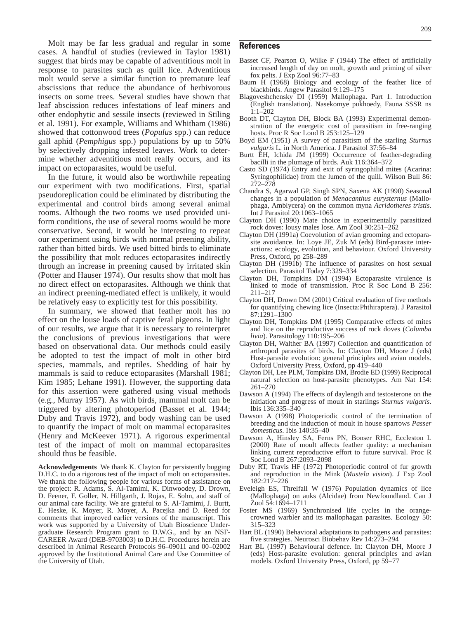Molt may be far less gradual and regular in some cases. A handful of studies (reviewed in Taylor 1981) suggest that birds may be capable of adventitious molt in response to parasites such as quill lice. Adventitious molt would serve a similar function to premature leaf abscissions that reduce the abundance of herbivorous insects on some trees. Several studies have shown that leaf abscission reduces infestations of leaf miners and other endophytic and sessile insects (reviewed in Stiling et al. 1991). For example, Williams and Whitham (1986) showed that cottonwood trees (*Populus* spp.) can reduce gall aphid (*Pemphigus* spp.) populations by up to 50% by selectively dropping infested leaves. Work to determine whether adventitious molt really occurs, and its impact on ectoparasites, would be useful.

In the future, it would also be worthwhile repeating our experiment with two modifications. First, spatial pseudoreplication could be eliminated by distributing the experimental and control birds among several animal rooms. Although the two rooms we used provided uniform conditions, the use of several rooms would be more conservative. Second, it would be interesting to repeat our experiment using birds with normal preening ability, rather than bitted birds. We used bitted birds to eliminate the possibility that molt reduces ectoparasites indirectly through an increase in preening caused by irritated skin (Potter and Hauser 1974). Our results show that molt has no direct effect on ectoparasites. Although we think that an indirect preening-mediated effect is unlikely, it would be relatively easy to explicitly test for this possibility.

In summary, we showed that feather molt has no effect on the louse loads of captive feral pigeons. In light of our results, we argue that it is necessary to reinterpret the conclusions of previous investigations that were based on observational data. Our methods could easily be adopted to test the impact of molt in other bird species, mammals, and reptiles. Shedding of hair by mammals is said to reduce ectoparasites (Marshall 1981; Kim 1985; Lehane 1991). However, the supporting data for this assertion were gathered using visual methods (e.g., Murray 1957). As with birds, mammal molt can be triggered by altering photoperiod (Basset et al. 1944; Duby and Travis 1972), and body washing can be used to quantify the impact of molt on mammal ectoparasites (Henry and McKeever 1971). A rigorous experimental test of the impact of molt on mammal ectoparasites should thus be feasible.

**Acknowledgements** We thank K. Clayton for persistently bugging D.H.C. to do a rigorous test of the impact of molt on ectoparasites. We thank the following people for various forms of assistance on the project: R. Adams, S. Al-Tamimi, K. Dinwoodey, D. Drown, D. Feener, F. Goller, N. Hillgarth, J. Rojas, E. Sohn, and staff of our animal care facility. We are grateful to S. Al-Tamimi, J. Burtt, E. Heske, K. Moyer, R. Moyer, A. Pacejka and D. Reed for comments that improved earlier versions of the manuscript. This work was supported by a University of Utah Bioscience Undergraduate Research Program grant to D.W.G., and by an NSF-CAREER Award (DEB-9703003) to D.H.C. Procedures herein are described in Animal Research Protocols 96–09011 and 00–02002 approved by the Institutional Animal Care and Use Committee of the University of Utah.

#### References

- Basset CF, Pearson O, Wilke F (1944) The effect of artificially increased length of day on molt, growth and priming of silver fox pelts. J Exp Zool 96:77–83
- Baum H (1968) Biology and ecology of the feather lice of blackbirds. Angew Parasitol 9:129–175
- Blagoveshchensky DI (1959) Mallophaga. Part 1. Introduction (English translation). Nasekomye pukhoedy, Fauna SSSR ns 1:1–202
- Booth DT, Clayton DH, Block BA (1993) Experimental demonstration of the energetic cost of parasitism in free-ranging hosts. Proc R Soc Lond B 253:125–129
- Boyd EM (1951) A survey of parasitism of the starling *Sturnus vulgaris* L. in North America. J Parasitol 37:56–84
- Burtt EH, Ichida JM (1999) Occurrence of feather-degrading bacilli in the plumage of birds. Auk 116:364–372
- Casto SD (1974) Entry and exit of syringophilid mites (Acarina: Syringophilidae) from the lumen of the quill. Wilson Bull 86: 272–278
- Chandra S, Agarwal GP, Singh SPN, Saxena AK (1990) Seasonal changes in a population of *Menacanthus eurysternus* (Mallophaga, Amblycera) on the common myna *Acridotheres tristis*. Int J Parasitol 20:1063–1065
- Clayton DH (1990) Mate choice in experimentally parasitized rock doves: lousy males lose. Am Zool 30:251–262
- Clayton DH (1991a) Coevolution of avian grooming and ectoparasite avoidance. In: Loye JE, Zuk M (eds) Bird-parasite interactions: ecology, evolution, and behaviour. Oxford University Press, Oxford, pp 258–289
- Clayton DH (1991b) The influence of parasites on host sexual selection. Parasitol Today 7:329–334
- Clayton DH, Tompkins DM (1994) Ectoparasite virulence is linked to mode of transmission. Proc R Soc Lond B 256: 211–217
- Clayton DH, Drown DM (2001) Critical evaluation of five methods for quantifying chewing lice (Insecta:Phthiraptera). J Parasitol 87:1291–1300
- Clayton DH, Tompkins DM (1995) Comparative effects of mites and lice on the reproductive success of rock doves (*Columba livia*). Parasitology 110:195–206
- Clayton DH, Walther BA (1997) Collection and quantification of arthropod parasites of birds. In: Clayton DH, Moore J (eds) Host-parasite evolution: general principles and avian models. Oxford University Press, Oxford, pp 419–440
- Clayton DH, Lee PLM, Tompkins DM, Brodie ED (1999) Reciprocal natural selection on host-parasite phenotypes. Am Nat 154: 261–270
- Dawson A (1994) The effects of daylength and testosterone on the initiation and progress of moult in starlings *Sturnus vulgaris*. Ibis 136:335–340
- Dawson A (1998) Photoperiodic control of the termination of breeding and the induction of moult in house sparrows *Passer domesticus*. Ibis 140:35–40
- Dawson A, Hinsley SA, Ferns PN, Bonser RHC, Eccleston L (2000) Rate of moult affects feather quality: a mechanism linking current reproductive effort to future survival. Proc R Soc Lond B 267:2093–2098
- Duby RT, Travis HF (1972) Photoperiodic control of fur growth and reproduction in the Mink (*Mustela vision*). J Exp Zool 182:217–226
- Eveleigh ES, Threlfall W (1976) Population dynamics of lice (Mallophaga) on auks (Alcidae) from Newfoundland. Can J Zool 54:1694–1711
- Foster MS (1969) Synchronised life cycles in the orangecrowned warbler and its mallophagan parasites. Ecology 50: 315–323
- Hart BL (1990) Behavioral adaptations to pathogens and parasites: five strategies. Neurosci Biobehav Rev 14:273–294
- Hart BL (1997) Behavioural defence. In: Clayton DH, Moore J (eds) Host-parasite evolution: general principles and avian models. Oxford University Press, Oxford, pp 59–77